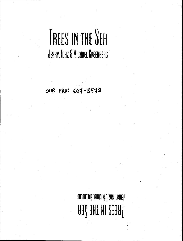## TREES IN THE SEA JERRY. IDAZ & MICHAEL GREENBERG

FAX: 667-3572 **OUR** 

> JABAY. IDAZ 6 MICHAEL BAEENBERD **HEES IN THE SEA**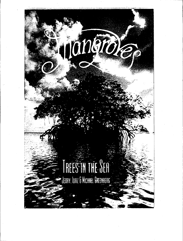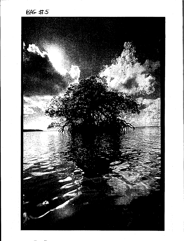**BAG #5** 

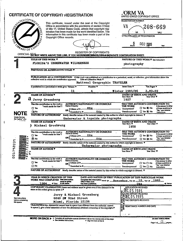| <b>CERTIFICATE OF COPYRIGHT REGISTRATION</b> |                                                                                                                        |  |
|----------------------------------------------|------------------------------------------------------------------------------------------------------------------------|--|
| イヒコ                                          | This certificate, issued under the seal of the Copyright<br>Office in accordance with the provisions of section 410(a) |  |

|                                | ້            |  |
|--------------------------------|--------------|--|
| <b>RAY E UNITED</b>            | Control Mayo |  |
|                                |              |  |
| $\epsilon_{B_{R_{A_{R_{Y}}}}}$ | ОF           |  |

 $\mathbf{r}$ 

001792039

See<br>befo<br>this (

of title 17, United States Code, attests that copyright registration has been made for the work identified below. The<br>information in this certificate has been made a part of the Copyright Office records.

**JORM VA**<br>JNITED STATES COPYRIGHT OFFICE **REGISTRATION NUMBER VA** 208-669 .<br>VA VAU EFFECTIVE DATE OF REGISTRATION

៳៱៓៓៓ DEC<sub>1985</sub>

photography

**EGISTER OF COPYRIGHTS**<br>OFFICIAL SONOT WRITE ABOVE THIS LINE. IF YOU NEED/MORES IN COPYRIGHTS NATURE OF THIS WORK **V** See instructions

## **TITLE OF THIS WORK Y** FLORIDA'S UNDERWATER WILDERNESS **PREVIOUS OR ALTERNATIVE TITLES V**

|                                  | PUBLICATION AS A CONTRIBUTION If this work was published as a contribution to a periodical, serial, or collection, give information about the<br>collective work in which the contribution appeared.<br>Title of Collective Work ▼<br>National Geographic TRAVELER |                                                                                     |                                               |
|----------------------------------|--------------------------------------------------------------------------------------------------------------------------------------------------------------------------------------------------------------------------------------------------------------------|-------------------------------------------------------------------------------------|-----------------------------------------------|
|                                  | If published in a periodical or serial give: Volume V<br>Number <sub>V</sub>                                                                                                                                                                                       | <b>Issue Date V</b><br>'On Pages ∀                                                  |                                               |
|                                  | 11<br>4                                                                                                                                                                                                                                                            | Winter 1985/86<br>3.80–89                                                           |                                               |
|                                  | <b>NAME OF AUTHOR V</b>                                                                                                                                                                                                                                            | DATES OF BIRTH AND DEATH<br>Year Died V<br>Year Born ▼                              |                                               |
|                                  | d Jerry Greenberg                                                                                                                                                                                                                                                  | 1927                                                                                |                                               |
|                                  | <b>AUTHOR'S NATIONALITY OR DOMICILE</b><br>Was this contribution to the work a<br><b>Name of Country</b><br>"work made for hire"?                                                                                                                                  | <b>WAS THIS AUTHOR'S CONTRIBUTION TO</b><br><b>THE WORK</b>                         |                                               |
|                                  | $\Box$ Yes<br>Anonymous?<br>OR {Citizen of <b>&gt;</b> ________USA                                                                                                                                                                                                 | $\square$ Yes $\square$ No                                                          | of these questions<br>"Yes," see detailed     |
| NO1                              | <b>ExNo</b>                                                                                                                                                                                                                                                        | □ Yes W No                                                                          | instructions.                                 |
|                                  | <b>NATURE OF AUTHORSHIP</b><br>Briefly describe nature of the material created by this author in which copyright is claimed. V                                                                                                                                     |                                                                                     |                                               |
| 'author" oi s                    | Underwater & topside photographs                                                                                                                                                                                                                                   |                                                                                     |                                               |
|                                  | <b>NAME OF AUTHOR V</b>                                                                                                                                                                                                                                            | <b>DATES OF BIRTH AND DEATH</b><br>Year Born <b>V</b><br>Year Died V                |                                               |
|                                  | Michael Greebrerg                                                                                                                                                                                                                                                  | 1958                                                                                |                                               |
|                                  | AUTHOR'S NATIONALITY OR DOMICILE<br>Was this contribution to the work a<br>Name of country<br>'work made for hire"?<br>$\Box$ Yes<br><b>USA</b><br>Citizen of <b>P</b> .                                                                                           | WAS THIS AUTHOR'S CONTRIBUTION TO<br>THE WORK<br>$\Box$ Yes $\Box$ No<br>Anonymous? | ii the answer lo eit                          |
|                                  | OR<br><b>USA</b><br><b>PS</b> No<br>Domiciled in $\blacktriangleright$ $-$                                                                                                                                                                                         | Pseudonymous?<br>$\Box$ Yes $\Box$ No                                               | of these questions<br>"Yes," see detailed     |
|                                  | NATURE OF AUTHORSHIP Briefly describe nature of the material created by this author in which copyright is claimed.                                                                                                                                                 |                                                                                     | instructions.                                 |
|                                  | Underwater photographs                                                                                                                                                                                                                                             |                                                                                     |                                               |
| コピロ                              | <b>NAME OF AUTHOR V</b>                                                                                                                                                                                                                                            | DATES OF BIRTH AND DEATH<br>Year Born $\P$<br>Year Died T                           |                                               |
|                                  | Was this contribution to the work a<br><b>AUTHOR'S NATIONALITY OR DOMICILE</b><br><b>Name of Country</b><br>work made for hire"?<br>$\Box$ Yes<br>Anonymous?<br>Citizen of $\blacktriangleright$ .                                                                 | WAS THIS AUTHOR'S CONTRIBUTION TO<br>THE WORK<br>$\square$ Yes $\square$ No         | If the answer to eith<br>of these questions i |
|                                  | OR<br>Pseudonymous?<br>$\Box$ No<br>Domiciled in $\blacktriangleright$                                                                                                                                                                                             |                                                                                     | "Yes," see detailed                           |
|                                  |                                                                                                                                                                                                                                                                    | $\square$ Yes $\square$ No                                                          | instructions.                                 |
|                                  | NATURE OF AUTHORSHIP Briefly describe nature of the material created by this author in which copyright is claimed.                                                                                                                                                 |                                                                                     |                                               |
|                                  | YEAR IN WHICH CREATION OF THIS<br>DATE AND NATION OF FIRST PUBLICATION OF THIS PARTICULAR WORK<br>WORK WAS COMPLETED This information<br>Complete this information Month<br>muet be piven<br>ONLY If this work                                                     | November $D_{\text{av}} = 15$ Year $\geq 1985$                                      |                                               |
|                                  | 1984<br>4 Year<br>in all cases.<br>has been published.                                                                                                                                                                                                             | <b>US A</b>                                                                         |                                               |
|                                  | COPYRIGHT CLAIMANT(S) Name and address must be given even if the claimant is the<br>same as the author given in space 2.V                                                                                                                                          | <b>APPLICATION RECEIVED</b>                                                         |                                               |
|                                  | Jerry & Michael Greenberg                                                                                                                                                                                                                                          | ONE DEPOSIT RECEIVED                                                                |                                               |
| See instructions                 | 6840 SW 92nd Street                                                                                                                                                                                                                                                |                                                                                     |                                               |
| before completing<br>this space. | Miami, Florida 33156                                                                                                                                                                                                                                               | EW ULL U J. I J U J.<br>EST TWO DEPOSITS RECEIVED                                   |                                               |
|                                  | TRANSFER if the claimant(s) named here in space 4 are different from the author(s) named<br>in space 2, give a brief statement of how the claimant(s) obtained ownership of the copyright. V                                                                       | <b>SUMMARY STATE OF STATE AND DATE</b><br>∣႙ၓႝ                                      |                                               |
|                                  |                                                                                                                                                                                                                                                                    |                                                                                     |                                               |
|                                  |                                                                                                                                                                                                                                                                    |                                                                                     |                                               |

-9) on the reverse side of this page. e See detailed instructions. ● Sign the form at line 6.